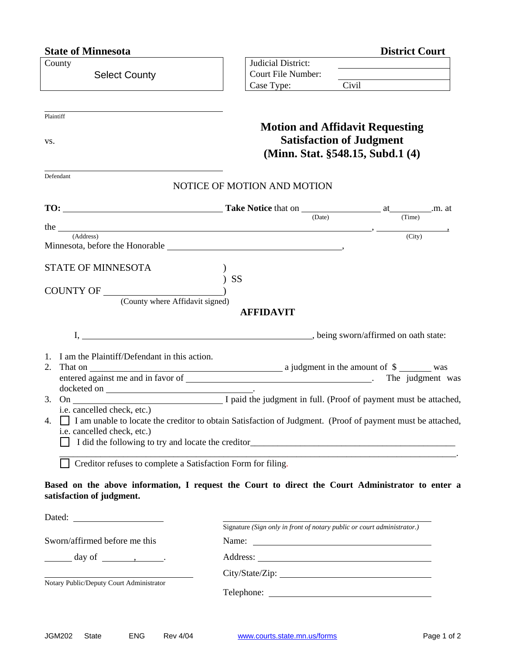## **State of Minnesota**

| <b>District Court</b> |  |
|-----------------------|--|
|                       |  |

| County                                                                                                                                       | Judicial District:                                                      |                                        |                     |
|----------------------------------------------------------------------------------------------------------------------------------------------|-------------------------------------------------------------------------|----------------------------------------|---------------------|
| <b>Select County</b>                                                                                                                         | Court File Number:<br>Case Type:                                        |                                        |                     |
|                                                                                                                                              |                                                                         |                                        |                     |
| Plaintiff                                                                                                                                    |                                                                         |                                        |                     |
|                                                                                                                                              |                                                                         | <b>Motion and Affidavit Requesting</b> |                     |
| VS.                                                                                                                                          |                                                                         | <b>Satisfaction of Judgment</b>        |                     |
|                                                                                                                                              |                                                                         | (Minn. Stat. §548.15, Subd.1 (4)       |                     |
| Defendant                                                                                                                                    |                                                                         |                                        |                     |
|                                                                                                                                              | NOTICE OF MOTION AND MOTION                                             |                                        |                     |
|                                                                                                                                              |                                                                         |                                        |                     |
|                                                                                                                                              |                                                                         | (Date)                                 | (Time)              |
| the <u>same</u><br>(Address)                                                                                                                 |                                                                         |                                        | $\overline{(City)}$ |
|                                                                                                                                              |                                                                         |                                        |                     |
| <b>STATE OF MINNESOTA</b>                                                                                                                    |                                                                         |                                        |                     |
|                                                                                                                                              | <b>SS</b>                                                               |                                        |                     |
| (County where Affidavit signed)                                                                                                              |                                                                         |                                        |                     |
|                                                                                                                                              | <b>AFFIDAVIT</b>                                                        |                                        |                     |
|                                                                                                                                              |                                                                         |                                        |                     |
|                                                                                                                                              |                                                                         |                                        |                     |
| 1. I am the Plaintiff/Defendant in this action.                                                                                              |                                                                         |                                        |                     |
| 2. That on $\qquad \qquad$                                                                                                                   |                                                                         |                                        |                     |
|                                                                                                                                              |                                                                         |                                        | The judgment was    |
|                                                                                                                                              |                                                                         |                                        |                     |
| i.e. cancelled check, etc.)                                                                                                                  |                                                                         |                                        |                     |
| 4. I am unable to locate the creditor to obtain Satisfaction of Judgment. (Proof of payment must be attached,<br>i.e. cancelled check, etc.) |                                                                         |                                        |                     |
|                                                                                                                                              |                                                                         |                                        |                     |
| Creditor refuses to complete a Satisfaction Form for filing.                                                                                 |                                                                         |                                        |                     |
|                                                                                                                                              |                                                                         |                                        |                     |
| Based on the above information, I request the Court to direct the Court Administrator to enter a                                             |                                                                         |                                        |                     |
| satisfaction of judgment.                                                                                                                    |                                                                         |                                        |                     |
|                                                                                                                                              |                                                                         |                                        |                     |
|                                                                                                                                              | Signature (Sign only in front of notary public or court administrator.) |                                        |                     |
| Sworn/affirmed before me this                                                                                                                |                                                                         |                                        |                     |
| $\frac{day \text{ of } \dots}{x}$ .                                                                                                          |                                                                         |                                        |                     |
| Notary Public/Deputy Court Administrator                                                                                                     |                                                                         |                                        |                     |
|                                                                                                                                              |                                                                         |                                        |                     |
|                                                                                                                                              |                                                                         |                                        |                     |
|                                                                                                                                              |                                                                         |                                        |                     |